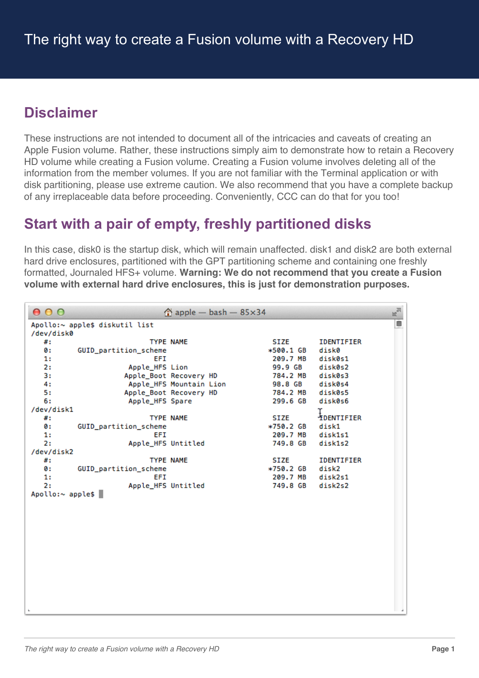# **Disclaimer**

These instructions are not intended to document all of the intricacies and caveats of creating an Apple Fusion volume. Rather, these instructions simply aim to demonstrate how to retain a Recovery HD volume while creating a Fusion volume. Creating a Fusion volume involves deleting all of the information from the member volumes. If you are not familiar with the Terminal application or with disk partitioning, please use extreme caution. We also recommend that you have a complete backup of any irreplaceable data before proceeding. Conveniently, CCC can do that for you too!

# **Start with a pair of empty, freshly partitioned disks**

In this case, disk0 is the startup disk, which will remain unaffected. disk1 and disk2 are both external hard drive enclosures, partitioned with the GPT partitioning scheme and containing one freshly formatted, Journaled HFS+ volume. **Warning: We do not recommend that you create a Fusion volume with external hard drive enclosures, this is just for demonstration purposes.**

| 000              |                                |                  | $\hat{p}$ apple - bash - 85 $\times$ 34 |                  | E <sub>N</sub>    |
|------------------|--------------------------------|------------------|-----------------------------------------|------------------|-------------------|
|                  | Apollo:~ apple\$ diskutil list |                  |                                         |                  | ₿                 |
| /dev/disk0       |                                |                  |                                         |                  |                   |
| #:               |                                | <b>TYPE NAME</b> |                                         | <b>SIZE</b>      | IDENTIFIER        |
| 0 :              | GUID_partition_scheme          |                  |                                         | *500.1 GB        | disk0             |
| 1:               | EFI                            |                  |                                         | 209.7 MB         | disk0s1           |
| 2:               | Apple_HFS Lion                 |                  |                                         | 99.9 GB          | disk0s2           |
| 3:               | Apple_Boot Recovery HD         |                  |                                         | 784.2 MB         | disk0s3           |
| 4:               | Apple_HFS Mountain Lion        |                  |                                         | 98.8 GB          | disk0s4           |
| 5:               | Apple_Boot Recovery HD         |                  |                                         | 784.2 MB         | disk0s5           |
| 6:               | Apple_HFS Spare                |                  |                                         | 299.6 GB         | disk0s6           |
| /dev/disk1       |                                |                  |                                         |                  |                   |
| #:               |                                | <b>TYPE NAME</b> |                                         | <b>SIZE</b>      | <b>IDENTIFIER</b> |
| 0 :              | GUID_partition_scheme          |                  |                                         | *750.2 GB        | disk1             |
| 1:               | EFI                            |                  |                                         | 209.7 MB         | disk1s1           |
| 2:               | Apple_HFS Untitled             |                  |                                         | 749.8 GB         | disk1s2           |
| /dev/disk2       |                                |                  |                                         |                  |                   |
| #:               |                                | <b>TYPE NAME</b> |                                         | SIZE             | <b>IDENTIFIER</b> |
| 0 :              | GUID_partition_scheme          |                  |                                         | *750.2 GB        | disk2             |
| 1:               | EFI                            |                  |                                         | 209.7 MB disk2s1 |                   |
| 2:               | Apple_HFS Untitled             |                  |                                         | 749.8 GB         | disk2s2           |
| Apollo:~ apple\$ |                                |                  |                                         |                  |                   |
|                  |                                |                  |                                         |                  |                   |
|                  |                                |                  |                                         |                  |                   |
|                  |                                |                  |                                         |                  |                   |
|                  |                                |                  |                                         |                  |                   |
|                  |                                |                  |                                         |                  |                   |
|                  |                                |                  |                                         |                  |                   |
|                  |                                |                  |                                         |                  |                   |
|                  |                                |                  |                                         |                  |                   |
|                  |                                |                  |                                         |                  |                   |
|                  |                                |                  |                                         |                  |                   |
|                  |                                |                  |                                         |                  |                   |
|                  |                                |                  |                                         |                  |                   |
|                  |                                |                  |                                         |                  |                   |
|                  |                                |                  |                                         |                  |                   |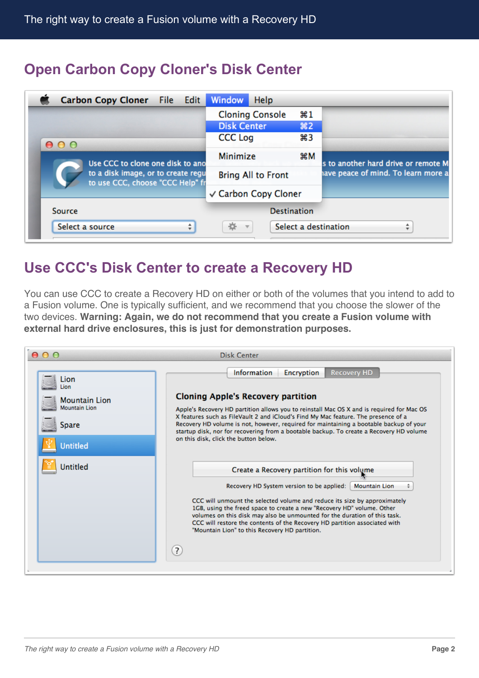## **Open Carbon Copy Cloner's Disk Center**

| <b>Carbon Copy Cloner</b> File Edit                                    | <b>Window</b><br><b>Help</b>                         |                                     |  |
|------------------------------------------------------------------------|------------------------------------------------------|-------------------------------------|--|
|                                                                        | <b>Cloning Console</b><br>$\frac{1}{2}$              |                                     |  |
|                                                                        | <b>Disk Center</b><br>82                             |                                     |  |
| 000                                                                    | ឣ3<br><b>CCC Log</b>                                 |                                     |  |
| Use CCC to clone one disk to ano                                       | Minimize<br>жM                                       | s to another hard drive or remote M |  |
| to a disk image, or to create regu<br>to use CCC, choose "CCC Help" fr | <b>Bring All to Front</b>                            | ave peace of mind. To learn more a  |  |
|                                                                        | √ Carbon Copy Cloner                                 |                                     |  |
| Source                                                                 | <b>Destination</b>                                   |                                     |  |
| Select a source<br>▲                                                   | Select a destination<br>烧<br>$\overline{\mathbf{v}}$ |                                     |  |

## **Use CCC's Disk Center to create a Recovery HD**

You can use CCC to create a Recovery HD on either or both of the volumes that you intend to add to a Fusion volume. One is typically sufficient, and we recommend that you choose the slower of the two devices. **Warning: Again, we do not recommend that you create a Fusion volume with external hard drive enclosures, this is just for demonstration purposes.**

| $\cap$ $\cap$                                                                            | <b>Disk Center</b>                                                                                                                                                                                                                                                                                                                                                                                                                                                                                                          |  |  |  |  |
|------------------------------------------------------------------------------------------|-----------------------------------------------------------------------------------------------------------------------------------------------------------------------------------------------------------------------------------------------------------------------------------------------------------------------------------------------------------------------------------------------------------------------------------------------------------------------------------------------------------------------------|--|--|--|--|
| Lion<br>Lion<br><b>Mountain Lion</b><br><b>Mountain Lion</b><br>Spare<br><b>Untitled</b> | <b>Information</b><br><b>Encryption</b><br><b>Recovery HD</b><br><b>Cloning Apple's Recovery partition</b><br>Apple's Recovery HD partition allows you to reinstall Mac OS X and is required for Mac OS<br>X features such as FileVault 2 and iCloud's Find My Mac feature. The presence of a<br>Recovery HD volume is not, however, required for maintaining a bootable backup of your<br>startup disk, nor for recovering from a bootable backup. To create a Recovery HD volume<br>on this disk, click the button below. |  |  |  |  |
| Untitled                                                                                 | Create a Recovery partition for this volume<br>Recovery HD System version to be applied:<br><b>Mountain Lion</b><br>CCC will unmount the selected volume and reduce its size by approximately<br>1GB, using the freed space to create a new "Recovery HD" volume. Other<br>volumes on this disk may also be unmounted for the duration of this task.<br>CCC will restore the contents of the Recovery HD partition associated with<br>"Mountain Lion" to this Recovery HD partition.<br>(2)                                 |  |  |  |  |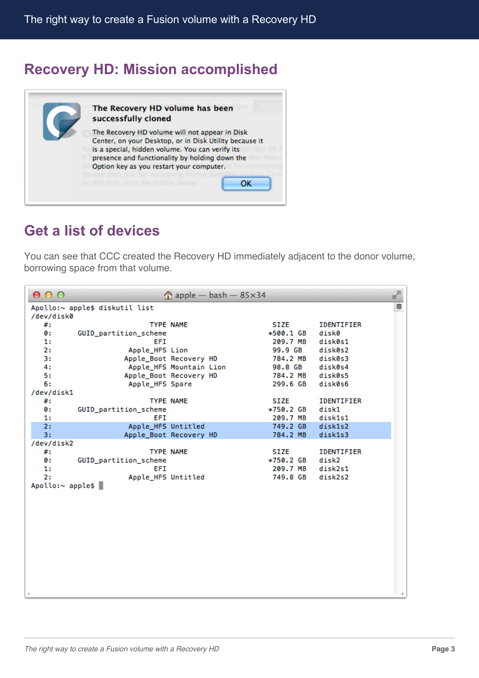## **Recovery HD: Mission accomplished**



#### **Get a list of devices**

You can see that CCC created the Recovery HD immediately adjacent to the donor volume, borrowing space from that volume.

| 000              |                                |                  | $\hat{p}$ apple - bash - 85 $\times$ 34 |                 | $\mathbb{R}^{\overline{\partial}}$ |
|------------------|--------------------------------|------------------|-----------------------------------------|-----------------|------------------------------------|
|                  | Apollo:~ apple\$ diskutil list |                  |                                         |                 | ▤                                  |
| /dev/disk0       |                                |                  |                                         |                 |                                    |
| #:               |                                | <b>TYPE NAME</b> |                                         | SIZE            | <b>IDENTIFIER</b>                  |
| 0:               | GUID_partition_scheme          |                  |                                         | *500.1 GB       | disk0                              |
| 1:               | EFI                            |                  |                                         | 209.7 MB        | disk0s1                            |
| 2:               | Apple_HFS Lion                 |                  |                                         | 99.9 GB         | disk0s2                            |
| 3:               | Apple_Boot Recovery HD         |                  |                                         | 784.2 MB        | disk0s3                            |
| 4:               | Apple_HFS Mountain Lion        |                  |                                         | 98.8 GB disk0s4 |                                    |
| 5:               | Apple_Boot Recovery HD         |                  |                                         | 784.2 MB        | disk0s5                            |
| 6:               | Apple_HFS Spare                |                  |                                         | 299.6 GB        | disk0s6                            |
| /dev/disk1       |                                |                  |                                         |                 |                                    |
| #:               |                                | <b>TYPE NAME</b> |                                         | SIZE            | <b>IDENTIFIER</b>                  |
| 0:               | GUID_partition_scheme          |                  |                                         | *750.2 GB       | disk1                              |
| 1:               | EFI                            |                  |                                         | 209.7 MB        | disk1s1                            |
| 2:               | Apple_HFS Untitled             |                  |                                         | 749.2 GB        | disk1s2                            |
| 3:               | Apple_Boot Recovery HD         |                  |                                         | 784.2 MB        | disk1s3                            |
| /dev/disk2       |                                |                  |                                         |                 |                                    |
| #:               |                                | <b>TYPE NAME</b> |                                         | <b>SIZE</b>     | <b>IDENTIFIER</b>                  |
| ø:               | GUID_partition_scheme          |                  |                                         | *750.2 GB       | disk2                              |
| 1:               | EFI                            |                  |                                         | 209.7 MB        | disk2s1                            |
| 2:               | Apple_HFS Untitled             |                  |                                         | 749.8 GB        | disk2s2                            |
| Apollo:~ apple\$ |                                |                  |                                         |                 |                                    |
|                  |                                |                  |                                         |                 |                                    |
|                  |                                |                  |                                         |                 |                                    |
|                  |                                |                  |                                         |                 |                                    |
|                  |                                |                  |                                         |                 |                                    |
|                  |                                |                  |                                         |                 |                                    |
|                  |                                |                  |                                         |                 |                                    |
|                  |                                |                  |                                         |                 |                                    |
|                  |                                |                  |                                         |                 |                                    |
|                  |                                |                  |                                         |                 |                                    |
|                  |                                |                  |                                         |                 |                                    |
|                  |                                |                  |                                         |                 |                                    |
|                  |                                |                  |                                         |                 |                                    |
|                  |                                |                  |                                         |                 |                                    |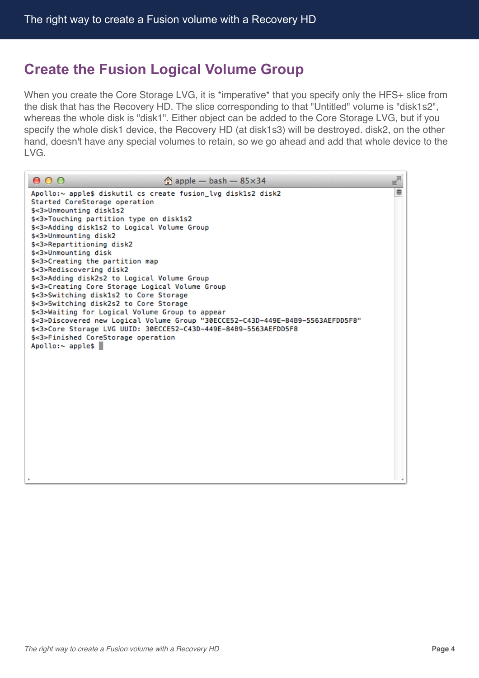#### **Create the Fusion Logical Volume Group**

When you create the Core Storage LVG, it is \*imperative\* that you specify only the HFS+ slice from the disk that has the Recovery HD. The slice corresponding to that "Untitled" volume is "disk1s2", whereas the whole disk is "disk1". Either object can be added to the Core Storage LVG, but if you specify the whole disk1 device, the Recovery HD (at disk1s3) will be destroyed. disk2, on the other hand, doesn't have any special volumes to retain, so we go ahead and add that whole device to the LVG.